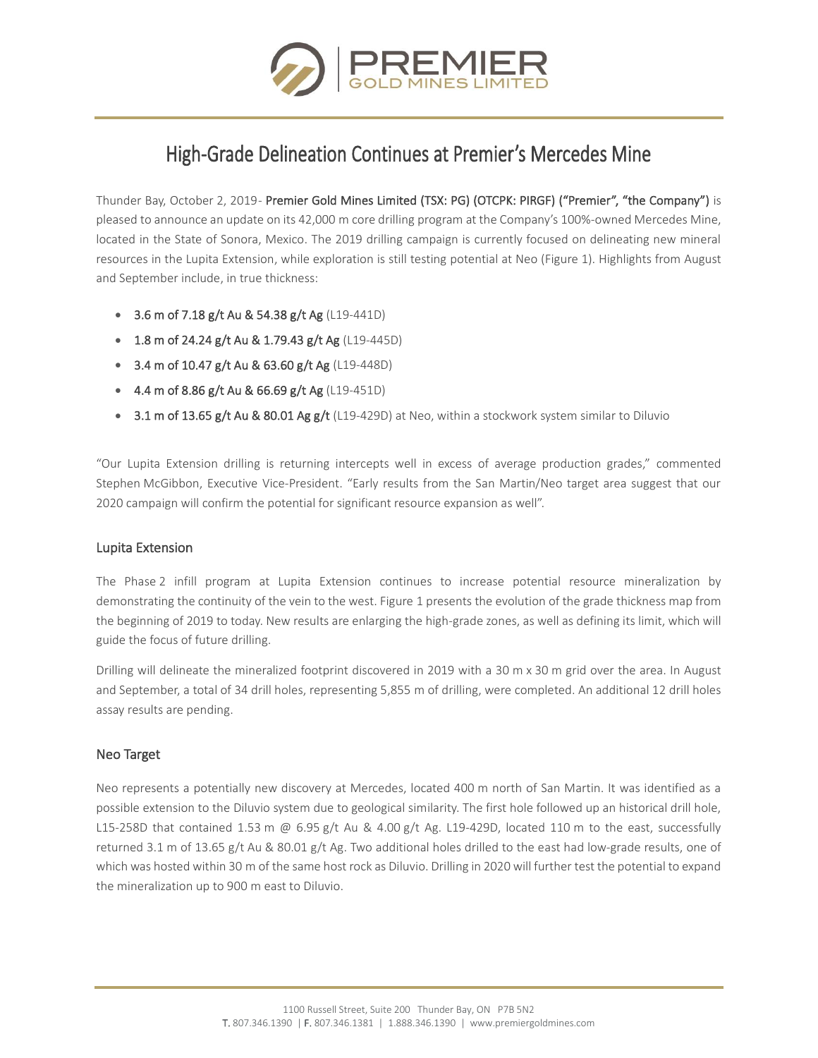

# High-Grade Delineation Continues at Premier's Mercedes Mine

Thunder Bay, October 2, 2019- Premier Gold Mines Limited (TSX: PG) (OTCPK: PIRGF) ("Premier", "the Company") is pleased to announce an update on its 42,000 m core drilling program at the Company's 100%-owned Mercedes Mine, located in the State of Sonora, Mexico. The 2019 drilling campaign is currently focused on delineating new mineral resources in the Lupita Extension, while exploration is still testing potential at Neo (Figure 1). Highlights from August and September include, in true thickness:

- 3.6 m of 7.18 g/t Au & 54.38 g/t Ag (L19-441D)
- 1.8 m of 24.24 g/t Au & 1.79.43 g/t Ag (L19-445D)
- 3.4 m of 10.47 g/t Au & 63.60 g/t Ag (L19-448D)
- 4.4 m of 8.86 g/t Au & 66.69 g/t Ag (L19-451D)
- 3.1 m of 13.65 g/t Au & 80.01 Ag g/t (L19-429D) at Neo, within a stockwork system similar to Diluvio

"Our Lupita Extension drilling is returning intercepts well in excess of average production grades," commented Stephen McGibbon, Executive Vice-President. "Early results from the San Martin/Neo target area suggest that our 2020 campaign will confirm the potential for significant resource expansion as well".

## Lupita Extension

The Phase 2 infill program at Lupita Extension continues to increase potential resource mineralization by demonstrating the continuity of the vein to the west. Figure 1 presents the evolution of the grade thickness map from the beginning of 2019 to today. New results are enlarging the high-grade zones, as well as defining its limit, which will guide the focus of future drilling.

Drilling will delineate the mineralized footprint discovered in 2019 with a 30 m x 30 m grid over the area. In August and September, a total of 34 drill holes, representing 5,855 m of drilling, were completed. An additional 12 drill holes assay results are pending.

## Neo Target

Neo represents a potentially new discovery at Mercedes, located 400 m north of San Martin. It was identified as a possible extension to the Diluvio system due to geological similarity. The first hole followed up an historical drill hole, L15-258D that contained 1.53 m @ 6.95 g/t Au & 4.00 g/t Ag. L19-429D, located 110 m to the east, successfully returned 3.1 m of 13.65 g/t Au & 80.01 g/t Ag. Two additional holes drilled to the east had low-grade results, one of which was hosted within 30 m of the same host rock as Diluvio. Drilling in 2020 will further test the potential to expand the mineralization up to 900 m east to Diluvio.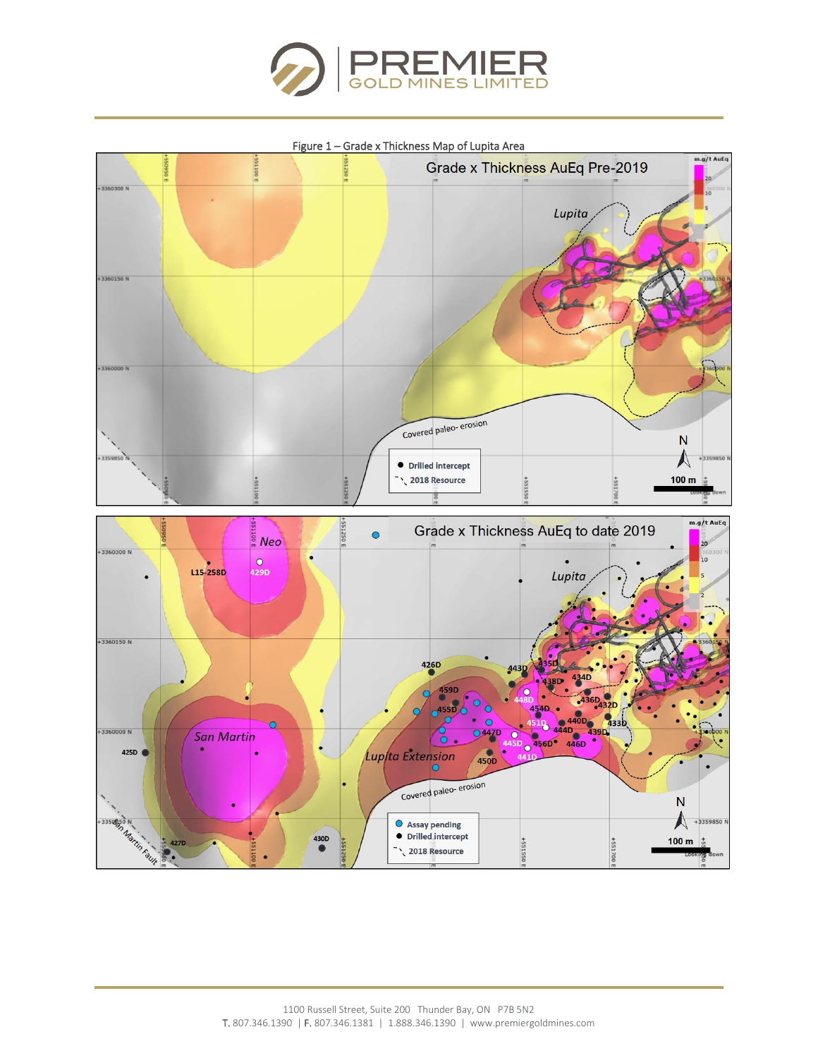



#### Figure 1 – Grade x Thickness Map of Lupita Area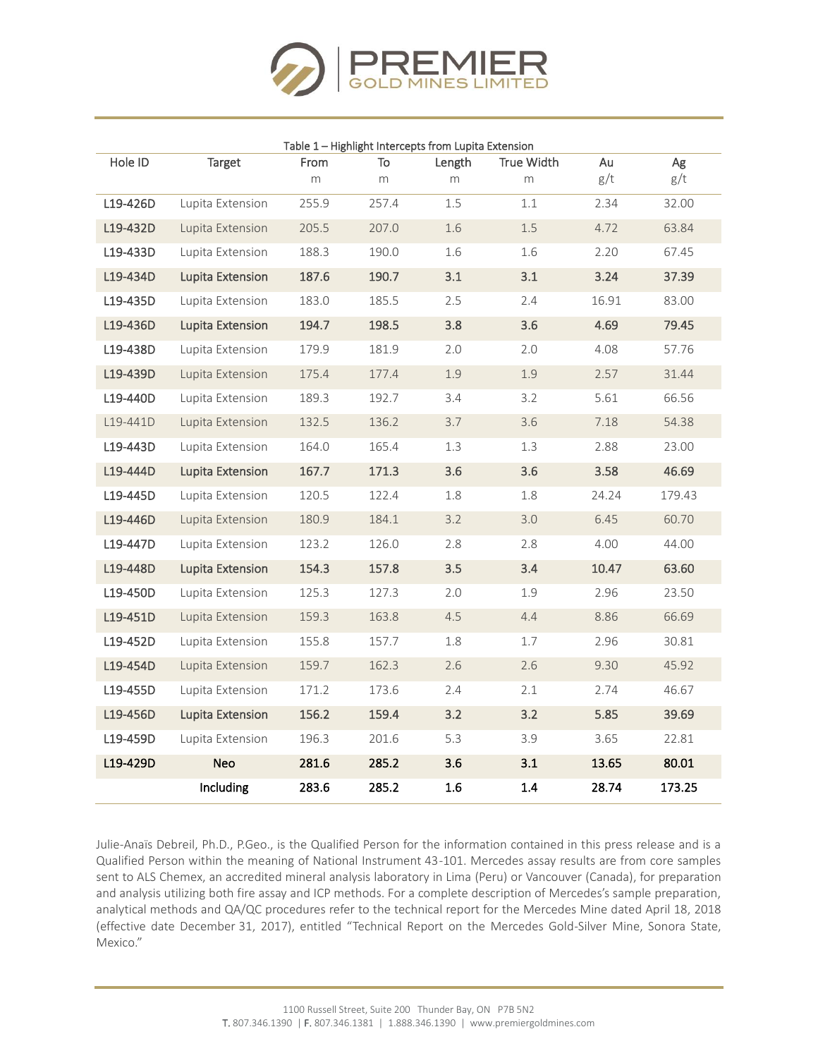

| Table 1 - Highlight Intercepts from Lupita Extension |                         |       |       |        |                   |       |        |  |  |  |  |  |
|------------------------------------------------------|-------------------------|-------|-------|--------|-------------------|-------|--------|--|--|--|--|--|
| Hole ID                                              | Target                  | From  | To    | Length | <b>True Width</b> | Au    | Ag     |  |  |  |  |  |
|                                                      |                         | m     | m     | m      | m                 | g/t   | g/t    |  |  |  |  |  |
| L19-426D                                             | Lupita Extension        | 255.9 | 257.4 | 1.5    | 1.1               | 2.34  | 32.00  |  |  |  |  |  |
| L19-432D                                             | Lupita Extension        | 205.5 | 207.0 | 1.6    | 1.5               | 4.72  | 63.84  |  |  |  |  |  |
| L19-433D                                             | Lupita Extension        | 188.3 | 190.0 | 1.6    | 1.6               | 2.20  | 67.45  |  |  |  |  |  |
| L19-434D                                             | <b>Lupita Extension</b> | 187.6 | 190.7 | 3.1    | 3.1               | 3.24  | 37.39  |  |  |  |  |  |
| L19-435D                                             | Lupita Extension        | 183.0 | 185.5 | 2.5    | 2.4               | 16.91 | 83.00  |  |  |  |  |  |
| L19-436D                                             | Lupita Extension        | 194.7 | 198.5 | 3.8    | 3.6               | 4.69  | 79.45  |  |  |  |  |  |
| L19-438D                                             | Lupita Extension        | 179.9 | 181.9 | 2.0    | 2.0               | 4.08  | 57.76  |  |  |  |  |  |
| L19-439D                                             | Lupita Extension        | 175.4 | 177.4 | 1.9    | 1.9               | 2.57  | 31.44  |  |  |  |  |  |
| L19-440D                                             | Lupita Extension        | 189.3 | 192.7 | 3.4    | 3.2               | 5.61  | 66.56  |  |  |  |  |  |
| L19-441D                                             | Lupita Extension        | 132.5 | 136.2 | 3.7    | 3.6               | 7.18  | 54.38  |  |  |  |  |  |
| L19-443D                                             | Lupita Extension        | 164.0 | 165.4 | 1.3    | 1.3               | 2.88  | 23.00  |  |  |  |  |  |
| L19-444D                                             | Lupita Extension        | 167.7 | 171.3 | 3.6    | 3.6               | 3.58  | 46.69  |  |  |  |  |  |
| L19-445D                                             | Lupita Extension        | 120.5 | 122.4 | 1.8    | 1.8               | 24.24 | 179.43 |  |  |  |  |  |
| L19-446D                                             | Lupita Extension        | 180.9 | 184.1 | 3.2    | 3.0               | 6.45  | 60.70  |  |  |  |  |  |
| L19-447D                                             | Lupita Extension        | 123.2 | 126.0 | 2.8    | 2.8               | 4.00  | 44.00  |  |  |  |  |  |
| L19-448D                                             | <b>Lupita Extension</b> | 154.3 | 157.8 | 3.5    | 3.4               | 10.47 | 63.60  |  |  |  |  |  |
| L19-450D                                             | Lupita Extension        | 125.3 | 127.3 | 2.0    | 1.9               | 2.96  | 23.50  |  |  |  |  |  |
| L19-451D                                             | Lupita Extension        | 159.3 | 163.8 | 4.5    | 4.4               | 8.86  | 66.69  |  |  |  |  |  |
| L19-452D                                             | Lupita Extension        | 155.8 | 157.7 | 1.8    | 1.7               | 2.96  | 30.81  |  |  |  |  |  |
| L19-454D                                             | Lupita Extension        | 159.7 | 162.3 | 2.6    | 2.6               | 9.30  | 45.92  |  |  |  |  |  |
| L19-455D                                             | Lupita Extension        | 171.2 | 173.6 | 2.4    | 2.1               | 2.74  | 46.67  |  |  |  |  |  |
| L19-456D                                             | Lupita Extension        | 156.2 | 159.4 | 3.2    | 3.2               | 5.85  | 39.69  |  |  |  |  |  |
| L19-459D                                             | Lupita Extension        | 196.3 | 201.6 | 5.3    | 3.9               | 3.65  | 22.81  |  |  |  |  |  |
| L19-429D                                             | <b>Neo</b>              | 281.6 | 285.2 | 3.6    | 3.1               | 13.65 | 80.01  |  |  |  |  |  |
|                                                      | Including               | 283.6 | 285.2 | 1.6    | 1.4               | 28.74 | 173.25 |  |  |  |  |  |

Julie-Anaïs Debreil, Ph.D., P.Geo., is the Qualified Person for the information contained in this press release and is a Qualified Person within the meaning of National Instrument 43-101. Mercedes assay results are from core samples sent to ALS Chemex, an accredited mineral analysis laboratory in Lima (Peru) or Vancouver (Canada), for preparation and analysis utilizing both fire assay and ICP methods. For a complete description of Mercedes's sample preparation, analytical methods and QA/QC procedures refer to the technical report for the Mercedes Mine dated April 18, 2018 (effective date December 31, 2017), entitled "Technical Report on the Mercedes Gold-Silver Mine, Sonora State, Mexico."